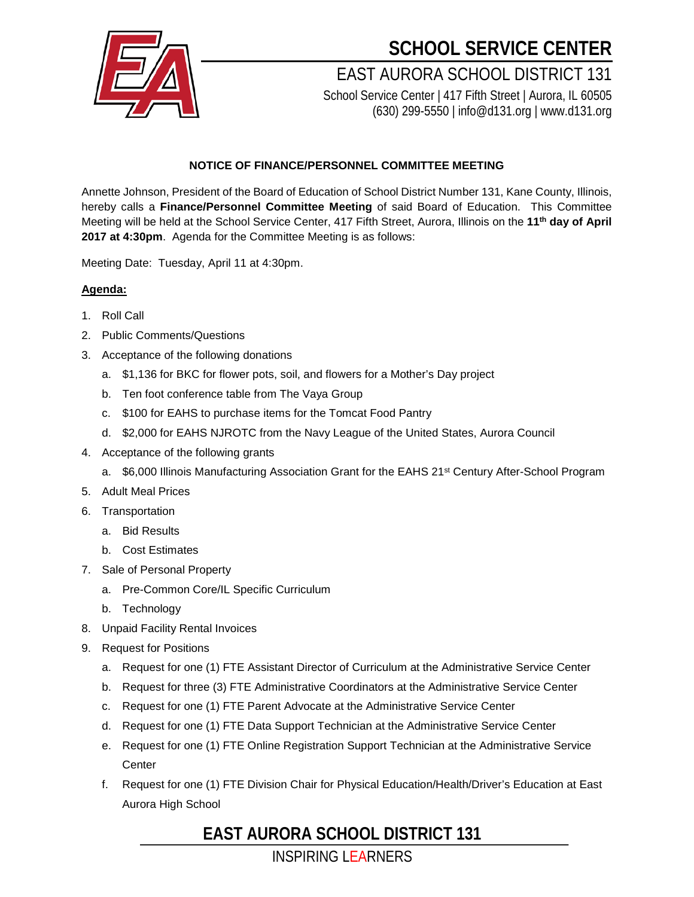

## **SCHOOL SERVICE CENTER**

EAST AURORA SCHOOL DISTRICT 131 School Service Center | 417 Fifth Street | Aurora, IL 60505

(630) 299-5550 | info@d131.org | www.d131.org

#### **NOTICE OF FINANCE/PERSONNEL COMMITTEE MEETING**

Annette Johnson, President of the Board of Education of School District Number 131, Kane County, Illinois, hereby calls a **Finance/Personnel Committee Meeting** of said Board of Education. This Committee Meeting will be held at the School Service Center, 417 Fifth Street, Aurora, Illinois on the **11th day of April 2017 at 4:30pm**. Agenda for the Committee Meeting is as follows:

Meeting Date: Tuesday, April 11 at 4:30pm.

### **Agenda:**

- 1. Roll Call
- 2. Public Comments/Questions
- 3. Acceptance of the following donations
	- a. \$1,136 for BKC for flower pots, soil, and flowers for a Mother's Day project
	- b. Ten foot conference table from The Vaya Group
	- c. \$100 for EAHS to purchase items for the Tomcat Food Pantry
	- d. \$2,000 for EAHS NJROTC from the Navy League of the United States, Aurora Council
- 4. Acceptance of the following grants
	- a. \$6,000 Illinois Manufacturing Association Grant for the EAHS 21<sup>st</sup> Century After-School Program
- 5. Adult Meal Prices
- 6. Transportation
	- a. Bid Results
	- b. Cost Estimates
- 7. Sale of Personal Property
	- a. Pre-Common Core/IL Specific Curriculum
	- b. Technology
- 8. Unpaid Facility Rental Invoices
- 9. Request for Positions
	- a. Request for one (1) FTE Assistant Director of Curriculum at the Administrative Service Center
	- b. Request for three (3) FTE Administrative Coordinators at the Administrative Service Center
	- c. Request for one (1) FTE Parent Advocate at the Administrative Service Center
	- d. Request for one (1) FTE Data Support Technician at the Administrative Service Center
	- e. Request for one (1) FTE Online Registration Support Technician at the Administrative Service **Center**
	- f. Request for one (1) FTE Division Chair for Physical Education/Health/Driver's Education at East Aurora High School

### **EAST AURORA SCHOOL DISTRICT 131**